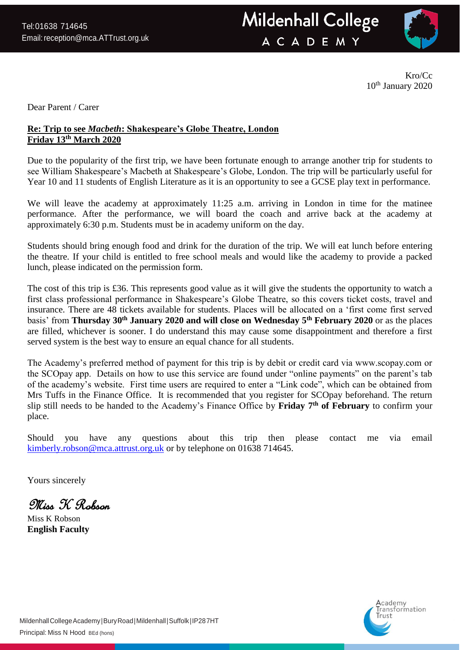

Kro/Cc 10<sup>th</sup> January 2020

Dear Parent / Carer

## **Re: Trip to see** *Macbeth***: Shakespeare's Globe Theatre, London Friday 13th March 2020**

Due to the popularity of the first trip, we have been fortunate enough to arrange another trip for students to see William Shakespeare's Macbeth at Shakespeare's Globe, London. The trip will be particularly useful for Year 10 and 11 students of English Literature as it is an opportunity to see a GCSE play text in performance.

We will leave the academy at approximately 11:25 a.m. arriving in London in time for the matinee performance. After the performance, we will board the coach and arrive back at the academy at approximately 6:30 p.m. Students must be in academy uniform on the day.

Students should bring enough food and drink for the duration of the trip. We will eat lunch before entering the theatre. If your child is entitled to free school meals and would like the academy to provide a packed lunch, please indicated on the permission form.

The cost of this trip is £36. This represents good value as it will give the students the opportunity to watch a first class professional performance in Shakespeare's Globe Theatre, so this covers ticket costs, travel and insurance. There are 48 tickets available for students. Places will be allocated on a 'first come first served basis' from **Thursday 30th January 2020 and will close on Wednesday 5th February 2020** or as the places are filled, whichever is sooner. I do understand this may cause some disappointment and therefore a first served system is the best way to ensure an equal chance for all students.

The Academy's preferred method of payment for this trip is by debit or credit card via www.scopay.com or the SCOpay app. Details on how to use this service are found under "online payments" on the parent's tab of the academy's website. First time users are required to enter a "Link code", which can be obtained from Mrs Tuffs in the Finance Office. It is recommended that you register for SCOpay beforehand. The return slip still needs to be handed to the Academy's Finance Office by **Friday 7th of February** to confirm your place.

Should you have any questions about this trip then please contact me via email [kimberly.robson@mca.attrust.org.uk](mailto:kimberly.robson@mca.attrust.org.uk) or by telephone on 01638 714645.

Yours sincerely

Miss K Robson

Miss K Robson **English Faculty**

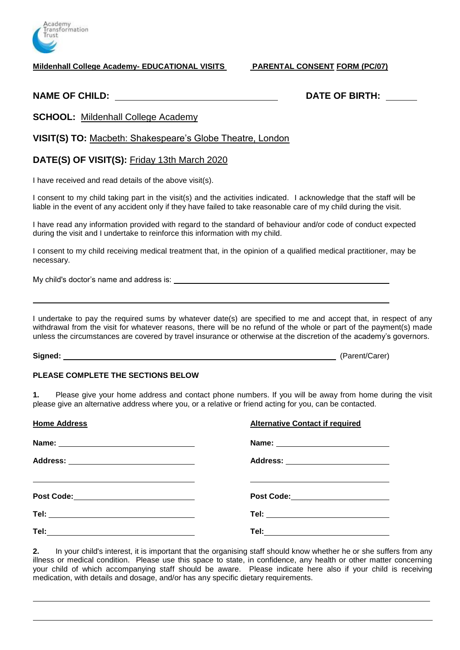

**Mildenhall College Academy- EDUCATIONAL VISITS PARENTAL CONSENT FORM (PC/07)**

**NAME OF CHILD: DATE OF BIRTH:**

**SCHOOL:** Mildenhall College Academy

**VISIT(S) TO:** Macbeth: Shakespeare's Globe Theatre, London

## **DATE(S) OF VISIT(S):** Friday 13th March 2020

I have received and read details of the above visit(s).

I consent to my child taking part in the visit(s) and the activities indicated. I acknowledge that the staff will be liable in the event of any accident only if they have failed to take reasonable care of my child during the visit.

I have read any information provided with regard to the standard of behaviour and/or code of conduct expected during the visit and I undertake to reinforce this information with my child.

I consent to my child receiving medical treatment that, in the opinion of a qualified medical practitioner, may be necessary.

My child's doctor's name and address is:

I undertake to pay the required sums by whatever date(s) are specified to me and accept that, in respect of any withdrawal from the visit for whatever reasons, there will be no refund of the whole or part of the payment(s) made unless the circumstances are covered by travel insurance or otherwise at the discretion of the academy's governors.

**Signed:** (Parent/Carer)

## **PLEASE COMPLETE THE SECTIONS BELOW**

**1.** Please give your home address and contact phone numbers. If you will be away from home during the visit please give an alternative address where you, or a relative or friend acting for you, can be contacted.

| <b>Home Address</b>                      | <b>Alternative Contact if required</b> |
|------------------------------------------|----------------------------------------|
|                                          |                                        |
|                                          | Address: _________________________     |
| Post Code:______________________________ | Post Code:_______________________      |
|                                          | Tel: _______________________________   |
|                                          |                                        |

**2.** In your child's interest, it is important that the organising staff should know whether he or she suffers from any illness or medical condition. Please use this space to state, in confidence, any health or other matter concerning your child of which accompanying staff should be aware. Please indicate here also if your child is receiving medication, with details and dosage, and/or has any specific dietary requirements.